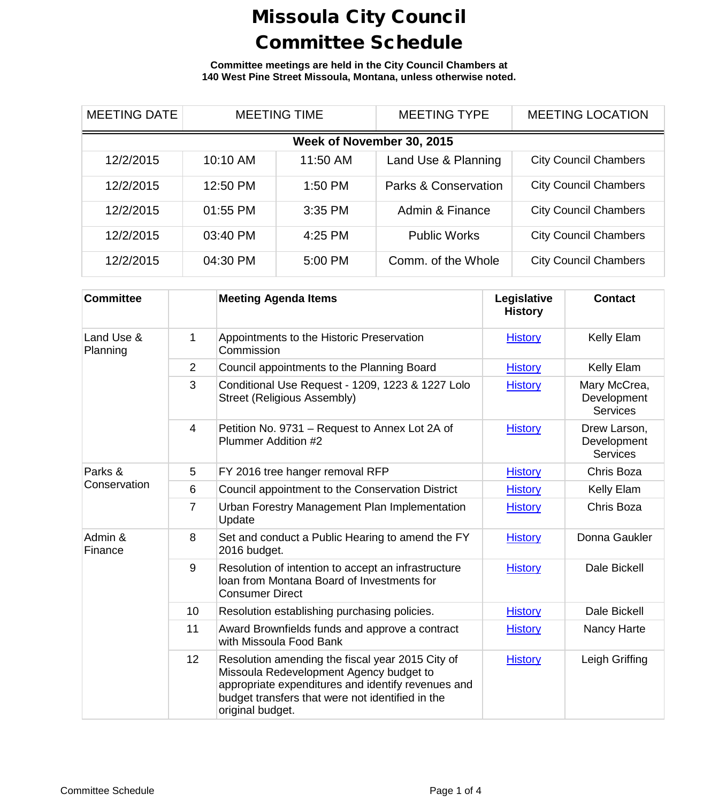**Committee meetings are held in the City Council Chambers at 140 West Pine Street Missoula, Montana, unless otherwise noted.**

| <b>MEETING DATE</b> | <b>MEETING TIME</b> |          | <b>MEETING TYPE</b>       | <b>MEETING LOCATION</b>      |
|---------------------|---------------------|----------|---------------------------|------------------------------|
|                     |                     |          | Week of November 30, 2015 |                              |
| 12/2/2015           | 10:10 AM            | 11:50 AM | Land Use & Planning       | <b>City Council Chambers</b> |
| 12/2/2015           | 12:50 PM            | 1:50 PM  | Parks & Conservation      | <b>City Council Chambers</b> |
| 12/2/2015           | 01:55 PM            | 3:35 PM  | Admin & Finance           | <b>City Council Chambers</b> |
| 12/2/2015           | 03:40 PM            | 4:25 PM  | <b>Public Works</b>       | <b>City Council Chambers</b> |
| 12/2/2015           | 04:30 PM            | 5:00 PM  | Comm. of the Whole        | <b>City Council Chambers</b> |

| <b>Committee</b>        |    | <b>Meeting Agenda Items</b>                                                                                                                                                                                               | Legislative<br><b>History</b> | <b>Contact</b>                                 |
|-------------------------|----|---------------------------------------------------------------------------------------------------------------------------------------------------------------------------------------------------------------------------|-------------------------------|------------------------------------------------|
| Land Use &<br>Planning  | 1  | Appointments to the Historic Preservation<br>Commission                                                                                                                                                                   | <b>History</b>                | Kelly Elam                                     |
|                         | 2  | Council appointments to the Planning Board                                                                                                                                                                                | <b>History</b>                | Kelly Elam                                     |
|                         | 3  | Conditional Use Request - 1209, 1223 & 1227 Lolo<br>Street (Religious Assembly)                                                                                                                                           | <b>History</b>                | Mary McCrea,<br>Development<br><b>Services</b> |
|                         | 4  | Petition No. 9731 - Request to Annex Lot 2A of<br><b>Plummer Addition #2</b>                                                                                                                                              | <b>History</b>                | Drew Larson,<br>Development<br><b>Services</b> |
| Parks &<br>Conservation | 5  | FY 2016 tree hanger removal RFP                                                                                                                                                                                           | <b>History</b>                | Chris Boza                                     |
|                         | 6  | Council appointment to the Conservation District                                                                                                                                                                          | <b>History</b>                | Kelly Elam                                     |
|                         | 7  | Urban Forestry Management Plan Implementation<br>Update                                                                                                                                                                   | <b>History</b>                | Chris Boza                                     |
| Admin &<br>Finance      | 8  | Set and conduct a Public Hearing to amend the FY<br>2016 budget.                                                                                                                                                          | <b>History</b>                | Donna Gaukler                                  |
|                         | 9  | Resolution of intention to accept an infrastructure<br>Joan from Montana Board of Investments for<br><b>Consumer Direct</b>                                                                                               | <b>History</b>                | Dale Bickell                                   |
|                         | 10 | Resolution establishing purchasing policies.                                                                                                                                                                              | <b>History</b>                | Dale Bickell                                   |
|                         | 11 | Award Brownfields funds and approve a contract<br>with Missoula Food Bank                                                                                                                                                 | <b>History</b>                | Nancy Harte                                    |
|                         | 12 | Resolution amending the fiscal year 2015 City of<br>Missoula Redevelopment Agency budget to<br>appropriate expenditures and identify revenues and<br>budget transfers that were not identified in the<br>original budget. | <b>History</b>                | Leigh Griffing                                 |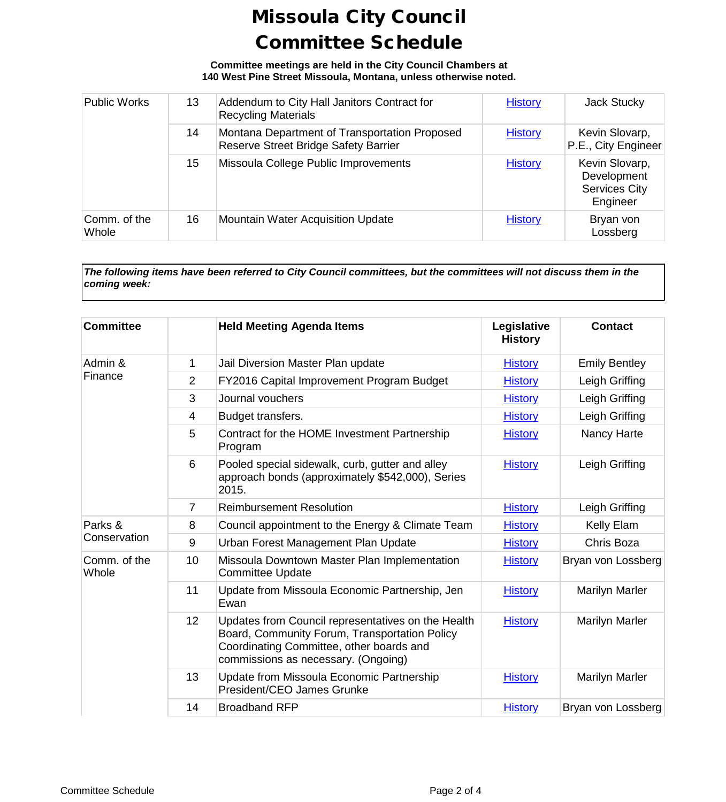**Committee meetings are held in the City Council Chambers at 140 West Pine Street Missoula, Montana, unless otherwise noted.**

| <b>Public Works</b>   | 13 | Addendum to City Hall Janitors Contract for<br><b>Recycling Materials</b>             | <b>History</b> | Jack Stucky                                                       |
|-----------------------|----|---------------------------------------------------------------------------------------|----------------|-------------------------------------------------------------------|
|                       | 14 | Montana Department of Transportation Proposed<br>Reserve Street Bridge Safety Barrier | <b>History</b> | Kevin Slovarp,<br>P.E., City Engineer                             |
|                       | 15 | Missoula College Public Improvements                                                  | <b>History</b> | Kevin Slovarp,<br>Development<br><b>Services City</b><br>Engineer |
| Comm. of the<br>Whole | 16 | <b>Mountain Water Acquisition Update</b>                                              | <b>History</b> | Bryan von<br>Lossberg                                             |

*The following items have been referred to City Council committees, but the committees will not discuss them in the coming week:*

| <b>Committee</b>      |                | <b>Held Meeting Agenda Items</b>                                                                                                                                                       | Legislative<br><b>History</b> | <b>Contact</b>        |
|-----------------------|----------------|----------------------------------------------------------------------------------------------------------------------------------------------------------------------------------------|-------------------------------|-----------------------|
| Admin &<br>Finance    | 1              | Jail Diversion Master Plan update                                                                                                                                                      | <b>History</b>                | <b>Emily Bentley</b>  |
|                       | $\overline{2}$ | FY2016 Capital Improvement Program Budget                                                                                                                                              | <b>History</b>                | Leigh Griffing        |
|                       | 3              | Journal vouchers                                                                                                                                                                       | <b>History</b>                | Leigh Griffing        |
|                       | 4              | Budget transfers.                                                                                                                                                                      | <b>History</b>                | Leigh Griffing        |
|                       | 5              | Contract for the HOME Investment Partnership<br>Program                                                                                                                                | <b>History</b>                | Nancy Harte           |
|                       | 6              | Pooled special sidewalk, curb, gutter and alley<br>approach bonds (approximately \$542,000), Series<br>2015.                                                                           | <b>History</b>                | Leigh Griffing        |
|                       | $\overline{7}$ | <b>Reimbursement Resolution</b>                                                                                                                                                        | <b>History</b>                | Leigh Griffing        |
| Parks &               | 8              | Council appointment to the Energy & Climate Team                                                                                                                                       | <b>History</b>                | Kelly Elam            |
| Conservation          | 9              | Urban Forest Management Plan Update                                                                                                                                                    | <b>History</b>                | Chris Boza            |
| Comm. of the<br>Whole | 10             | Missoula Downtown Master Plan Implementation<br><b>Committee Update</b>                                                                                                                | <b>History</b>                | Bryan von Lossberg    |
|                       | 11             | Update from Missoula Economic Partnership, Jen<br>Ewan                                                                                                                                 | <b>History</b>                | <b>Marilyn Marler</b> |
|                       | 12             | Updates from Council representatives on the Health<br>Board, Community Forum, Transportation Policy<br>Coordinating Committee, other boards and<br>commissions as necessary. (Ongoing) | <b>History</b>                | <b>Marilyn Marler</b> |
|                       | 13             | Update from Missoula Economic Partnership<br>President/CEO James Grunke                                                                                                                | <b>History</b>                | Marilyn Marler        |
|                       | 14             | <b>Broadband RFP</b>                                                                                                                                                                   | <b>History</b>                | Bryan von Lossberg    |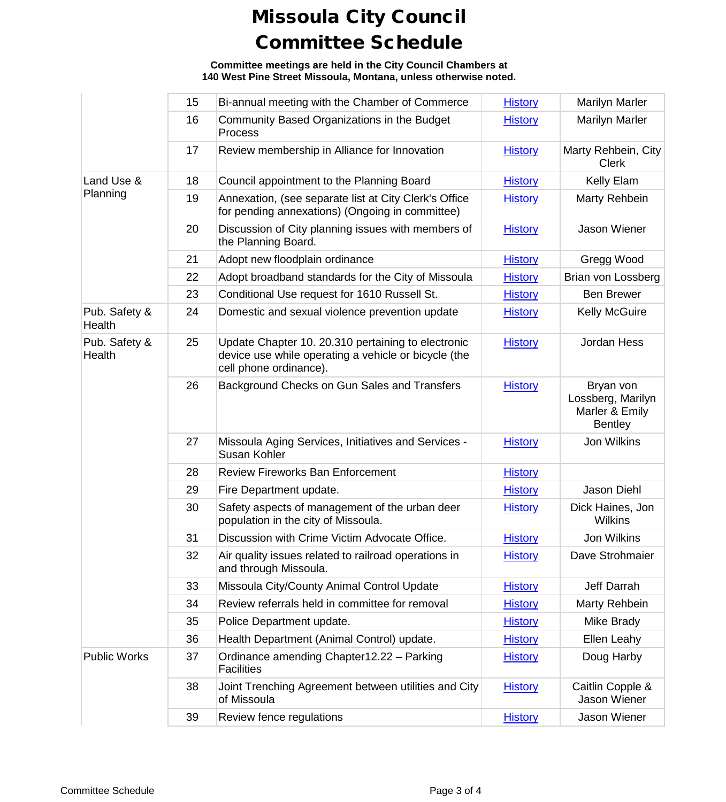**Committee meetings are held in the City Council Chambers at 140 West Pine Street Missoula, Montana, unless otherwise noted.**

|                         | 15 | Bi-annual meeting with the Chamber of Commerce                                                                                       | <b>History</b> | <b>Marilyn Marler</b>                                              |
|-------------------------|----|--------------------------------------------------------------------------------------------------------------------------------------|----------------|--------------------------------------------------------------------|
|                         | 16 | Community Based Organizations in the Budget<br>Process                                                                               | <b>History</b> | Marilyn Marler                                                     |
|                         | 17 | Review membership in Alliance for Innovation                                                                                         | <b>History</b> | Marty Rehbein, City<br><b>Clerk</b>                                |
| Land Use &<br>Planning  | 18 | Council appointment to the Planning Board                                                                                            | <b>History</b> | Kelly Elam                                                         |
|                         | 19 | Annexation, (see separate list at City Clerk's Office<br>for pending annexations) (Ongoing in committee)                             | <b>History</b> | Marty Rehbein                                                      |
|                         | 20 | Discussion of City planning issues with members of<br>the Planning Board.                                                            | <b>History</b> | Jason Wiener                                                       |
|                         | 21 | Adopt new floodplain ordinance                                                                                                       | <b>History</b> | Gregg Wood                                                         |
|                         | 22 | Adopt broadband standards for the City of Missoula                                                                                   | <b>History</b> | Brian von Lossberg                                                 |
|                         | 23 | Conditional Use request for 1610 Russell St.                                                                                         | <b>History</b> | <b>Ben Brewer</b>                                                  |
| Pub. Safety &<br>Health | 24 | Domestic and sexual violence prevention update                                                                                       | <b>History</b> | <b>Kelly McGuire</b>                                               |
| Pub. Safety &<br>Health | 25 | Update Chapter 10. 20.310 pertaining to electronic<br>device use while operating a vehicle or bicycle (the<br>cell phone ordinance). | <b>History</b> | Jordan Hess                                                        |
|                         | 26 | Background Checks on Gun Sales and Transfers                                                                                         | <b>History</b> | Bryan von<br>Lossberg, Marilyn<br>Marler & Emily<br><b>Bentley</b> |
|                         | 27 | Missoula Aging Services, Initiatives and Services -<br>Susan Kohler                                                                  | <b>History</b> | Jon Wilkins                                                        |
|                         | 28 | <b>Review Fireworks Ban Enforcement</b>                                                                                              | <b>History</b> |                                                                    |
|                         | 29 | Fire Department update.                                                                                                              | <b>History</b> | Jason Diehl                                                        |
|                         | 30 | Safety aspects of management of the urban deer<br>population in the city of Missoula.                                                | <b>History</b> | Dick Haines, Jon<br><b>Wilkins</b>                                 |
|                         | 31 | Discussion with Crime Victim Advocate Office.                                                                                        | <b>History</b> | Jon Wilkins                                                        |
|                         | 32 | Air quality issues related to railroad operations in<br>and through Missoula.                                                        | <b>History</b> | Dave Strohmaier                                                    |
|                         | 33 | Missoula City/County Animal Control Update                                                                                           | <b>History</b> | Jeff Darrah                                                        |
|                         | 34 | Review referrals held in committee for removal                                                                                       | <b>History</b> | Marty Rehbein                                                      |
|                         | 35 | Police Department update.                                                                                                            | <b>History</b> | Mike Brady                                                         |
|                         | 36 | Health Department (Animal Control) update.                                                                                           | <b>History</b> | Ellen Leahy                                                        |
| <b>Public Works</b>     | 37 | Ordinance amending Chapter12.22 - Parking<br><b>Facilities</b>                                                                       | <b>History</b> | Doug Harby                                                         |
|                         | 38 | Joint Trenching Agreement between utilities and City<br>of Missoula                                                                  | <b>History</b> | Caitlin Copple &<br>Jason Wiener                                   |
|                         | 39 | Review fence regulations                                                                                                             | <b>History</b> | Jason Wiener                                                       |